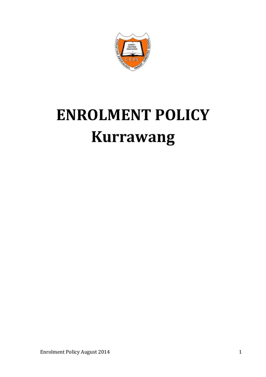

# **ENROLMENT POLICY Kurrawang**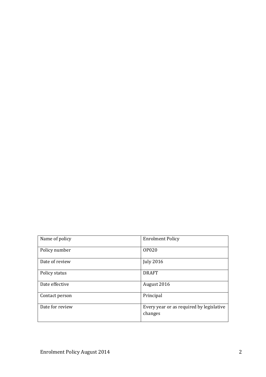| Name of policy  | <b>Enrolment Policy</b>                             |
|-----------------|-----------------------------------------------------|
| Policy number   | <b>OP020</b>                                        |
| Date of review  | <b>July 2016</b>                                    |
| Policy status   | <b>DRAFT</b>                                        |
| Date effective  | August 2016                                         |
| Contact person  | Principal                                           |
| Date for review | Every year or as required by legislative<br>changes |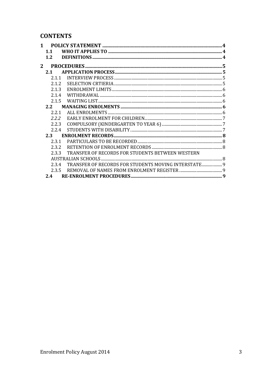# **CONTENTS**

|   | 1.1   |                                                      |  |
|---|-------|------------------------------------------------------|--|
|   | 1.2   |                                                      |  |
| 2 |       |                                                      |  |
|   | 2.1   |                                                      |  |
|   | 2.1.1 |                                                      |  |
|   | 2.1.2 |                                                      |  |
|   | 2.1.3 |                                                      |  |
|   | 2.1.4 |                                                      |  |
|   | 2.1.5 |                                                      |  |
|   | 2.2   |                                                      |  |
|   | 2.2.1 |                                                      |  |
|   | 2.2.2 |                                                      |  |
|   | 2.2.3 |                                                      |  |
|   | 2.2.4 |                                                      |  |
|   | 2.3   |                                                      |  |
|   | 2.3.1 |                                                      |  |
|   | 2.3.2 |                                                      |  |
|   | 2.3.3 | TRANSFER OF RECORDS FOR STUDENTS BETWEEN WESTERN     |  |
|   |       |                                                      |  |
|   | 2.3.4 | TRANSFER OF RECORDS FOR STUDENTS MOVING INTERSTATE 9 |  |
|   | 2.3.5 |                                                      |  |
|   | 2.4   |                                                      |  |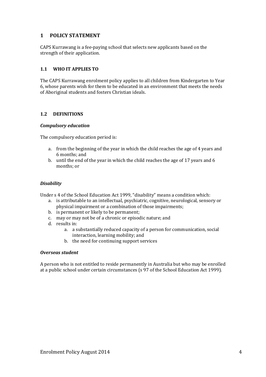# **1 POLICY STATEMENT**

CAPS Kurrawang is a fee-paying school that selects new applicants based on the strength of their application.

## **1.1 WHO IT APPLIES TO**

The CAPS Kurrawang enrolment policy applies to all children from Kindergarten to Year 6, whose parents wish for them to be educated in an environment that meets the needs of Aboriginal students and fosters Christian ideals.

## **1.2 DEFINITIONS**

#### *Compulsory education*

The compulsory education period is:

- a. from the beginning of the year in which the child reaches the age of 4 years and 6 months; and
- b. until the end of the year in which the child reaches the age of 17 years and 6 months; or

#### *Disability*

Under s 4 of the School Education Act 1999, "disability" means a condition which:

- a. is attributable to an intellectual, psychiatric, cognitive, neurological, sensory or physical impairment or a combination of those impairments;
- b. is permanent or likely to be permanent;
- c. may or may not be of a chronic or episodic nature; and
- d. results in:
	- a. a substantially reduced capacity of a person for communication, social interaction, learning mobility; and
	- b. the need for continuing support services

#### *Overseas student*

A person who is not entitled to reside permanently in Australia but who may be enrolled at a public school under certain circumstances (s 97 of the School Education Act 1999).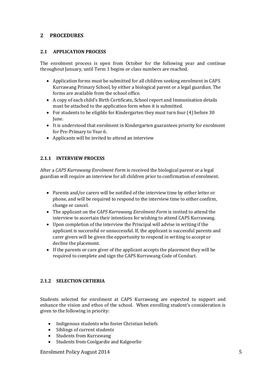# **2 PROCEDURES**

## **2.1 APPLICATION PROCESS**

The enrolment process is open from October for the following year and continue throughout January, until Term 1 begins or class numbers are reached.

- Application forms must be submitted for all children seeking enrolment in CAPS Kurrawang Primary School, by either a biological parent or a legal guardian. The forms are available from the school office.
- A copy of each child's Birth Certificate, School report and Immunisation details must be attached to the application form when it is submitted.
- For students to be eligible for Kindergarten they must turn four (4) before 30 June.
- It is understood that enrolment in Kindergarten guarantees priority for enrolment for Pre-Primary to Year 6.
- Applicants will be invited to attend an interview

# **2.1.1 INTERVIEW PROCESS**

After a *CAPS Kurrawang Enrolment Form* is received the biological parent or a legal guardian will require an interview for all children prior to confirmation of enrolment.

- Parents and/or carers will be notified of the interview time by either letter or phone, and will be required to respond to the interview time to either confirm, change or cancel.
- The applicant on the *CAPS Kurrawang Enrolment Form* is invited to attend the interview to ascertain their intentions for wishing to attend CAPS Kurrawang.
- Upon completion of the interview the Principal will advise in writing if the applicant is successful or unsuccessful. If, the applicant is successful parents and carer givers will be given the opportunity to respond in writing to accept or decline the placement.
- If the parents or care giver of the applicant accepts the placement they will be required to complete and sign the CAPS Kurrawang Code of Conduct.

# **2.1.2 SELECTION CRTIERIA**

Students selected for enrolment at CAPS Kurrawang are expected to support and enhance the vision and ethos of the school. When enrolling student's consideration is given to the following in priority:

- Indigenous students who foster Christian beliefs
- Siblings of current students
- Students from Kurrawang
- Students from Coolgardie and Kalgoorlie

#### Enrolment Policy August 2014 5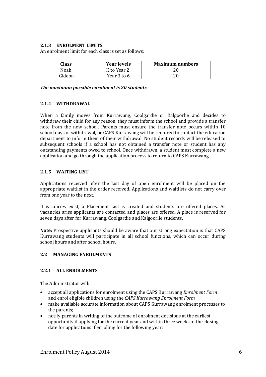#### **2.1.3 ENROLMENT LIMITS**

An enrolment limit for each class is set as follows:

| Class  | <b>Year levels</b> | <b>Maximum numbers</b> |
|--------|--------------------|------------------------|
| Noah   | K to Year 2        |                        |
| Gideon | Year 3 to 6        |                        |

#### *The maximum possible enrolment is 20 students*

#### **2.1.4 WITHDRAWAL**

When a family moves from Kurrawang, Coolgardie or Kalgoorlie and decides to withdraw their child for any reason, they must inform the school and provide a transfer note from the new school. Parents must ensure the transfer note occurs within 10 school days of withdrawal, or CAPS Kurrawang will be required to contact the education department to inform them of their withdrawal. No student records will be released to subsequent schools if a school has not obtained a transfer note or student has any outstanding payments owed to school. Once withdrawn, a student must complete a new application and go through the application process to return to CAPS Kurrawang.

#### **2.1.5 WAITING LIST**

Applications received after the last day of open enrolment will be placed on the appropriate waitlist in the order received. Applications and waitlists do not carry over from one year to the next.

If vacancies exist, a Placement List is created and students are offered places. As vacancies arise applicants are contacted and places are offered. A place is reserved for seven days after for Kurrawang, Coolgardie and Kalgoorlie students.

**Note:** Prospective applicants should be aware that our strong expectation is that CAPS Kurrawang students will participate in all school functions, which can occur during school hours and after school hours.

#### **2.2 MANAGING ENROLMENTS**

#### **2.2.1 ALL ENROLMENTS**

The Administrator will:

- accept all applications for enrolment using the CAPS Kurrawang *Enrolment Form*  and enrol eligible children using the *CAPS Kurrawang Enrolment Form*
- make available accurate information about CAPS Kurrawang enrolment processes to the parents;
- notify parents in writing of the outcome of enrolment decisions at the earliest opportunity if applying for the current year and within three weeks of the closing date for applications if enrolling for the following year;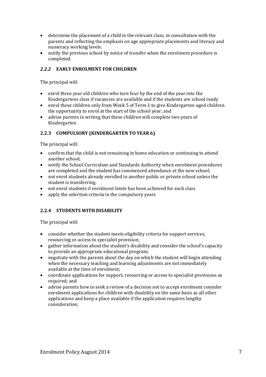- determine the placement of a child in the relevant class, in consultation with the parents and reflecting the emphasis on age appropriate placements and literacy and numeracy working levels.
- notify the previous school by notice of transfer when the enrolment procedure is completed.

# *2.2.2* **EARLY ENROLMENT FOR CHILDREN**

The principal will:

- enrol three year old children who turn four by the end of the year into the Kindergartens class if vacancies are available and if the students are school ready
- enrol these children only from Week 5 of Term 1 to give Kindergarten-aged children the opportunity to enrol at the start of the school year; and
- advise parents in writing that these children will complete two years of Kindergarten

# **2.2.3 COMPULSORY (KINDERGARTEN TO YEAR 6)**

The principal will:

- confirm that the child is not remaining in home education or continuing to attend another school;
- notify the School Curriculum and Standards Authority when enrolment procedures are completed and the student has commenced attendance at the new school;
- not enrol students already enrolled in another public or private school unless the student is transferring.
- not enrol students if enrolment limits has been achieved for each class
- apply the selection criteria in the compulsory years

# **2.2.4 STUDENTS WITH DISABILITY**

The principal will:

- consider whether the student meets eligibility criteria for support services, resourcing or access to specialist provision;
- gather information about the student's disability and consider the school's capacity to provide an appropriate educational program;
- negotiate with the parents about the day on which the student will begin attending when the necessary teaching and learning adjustments are not immediately available at the time of enrolment;
- coordinate applications for support, resourcing or access to specialist provisions as required; and
- advise parents how to seek a review of a decision not to accept enrolment consider enrolment applications for children with disability on the same basis as all other applications and keep a place available if the application requires lengthy consideration;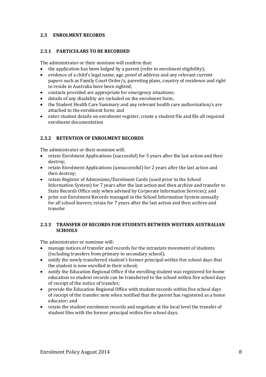## **2.3 ENROLMENT RECORDS**

#### **2.3.1 PARTICULARS TO BE RECORDED**

The administrator or their nominee will confirm that:

- the application has been lodged by a parent (refer to enrolment eligibility);
- evidence of a child's legal name, age, proof of address and any relevant current papers such as Family Court Order/s, parenting plans, country of residence and right to reside in Australia have been sighted;
- contacts provided are appropriate for emergency situations;
- details of any disability are included on the enrolment form;
- the Student Health Care Summary and any relevant health care authorisation/s are attached to the enrolment form; and
- enter student details on enrolment register, create a student file and file all required enrolment documentation

# **2.3.2 RETENTION OF ENROLMENT RECORDS**

The administrator or their nominee will:

- retain Enrolment Applications (successful) for 5 years after the last action and then destroy;
- retain Enrolment Applications (unsuccessful) for 2 years after the last action and then destroy;
- retain Register of Admissions/Enrolment Cards (used prior to the School Information System) for 7 years after the last action and then archive and transfer to State Records Office only when advised by Corporate Information Services); and
- print out Enrolment Records managed in the School Information System annually for all school leavers, retain for 7 years after the last action and then archive and transfer

#### **2.3.3 TRANSFER OF RECORDS FOR STUDENTS BETWEEN WESTERN AUSTRALIAN SCHOOLS**

The administrator or nominee will:

- manage notices of transfer and records for the intrastate movement of students (including transfers from primary to secondary school);
- notify the newly transferred student's former principal within five school days that the student is now enrolled in their school;
- notify the Education Regional Office if the enrolling student was registered for home education so student records can be transferred to the school within five school days of receipt of the notice of transfer;
- provide the Education Regional Office with student records within five school days of receipt of the transfer note when notified that the parent has registered as a home educator; and
- retain the student enrolment records and negotiate at the local level the transfer of student files with the former principal within five school days.